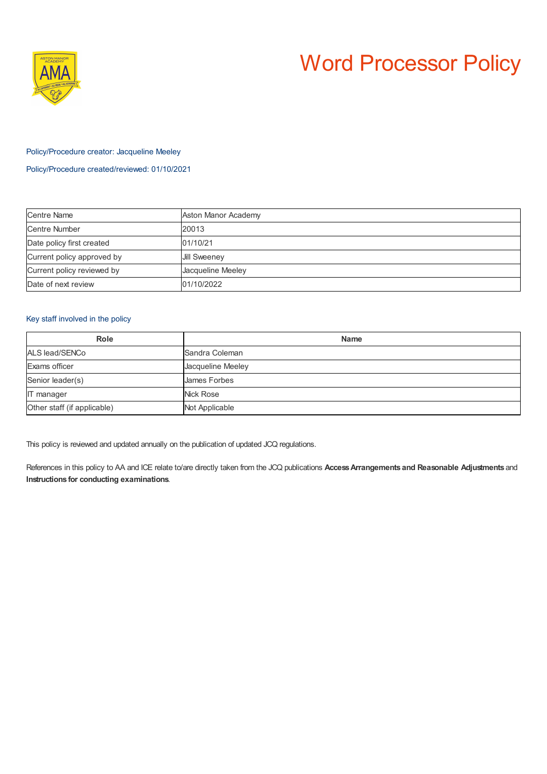

# Word Processor Policy

## Policy/Procedure creator: Jacqueline Meeley

Policy/Procedure created/reviewed: 01/10/2021

| <b>Centre Name</b>         | Aston Manor Academy |
|----------------------------|---------------------|
| Centre Number              | 20013               |
| Date policy first created  | 01/10/21            |
| Current policy approved by | <b>Jill Sweeney</b> |
| Current policy reviewed by | Jacqueline Meeley   |
| Date of next review        | 01/10/2022          |

## Key staff involved in the policy

| Role                        | <b>Name</b>       |
|-----------------------------|-------------------|
| ALS lead/SENCo              | Sandra Coleman    |
| Exams officer               | Jacqueline Meeley |
| Senior leader(s)            | James Forbes      |
| <b>IT</b> manager           | Nick Rose         |
| Other staff (if applicable) | Not Applicable    |

This policy is reviewed and updated annually on the publication of updated JCQ regulations.

References in this policy to AA and ICE relate to/are directly taken from the JCQ publications **AccessArrangements and Reasonable Adjustments** and **Instructions for conducting examinations**.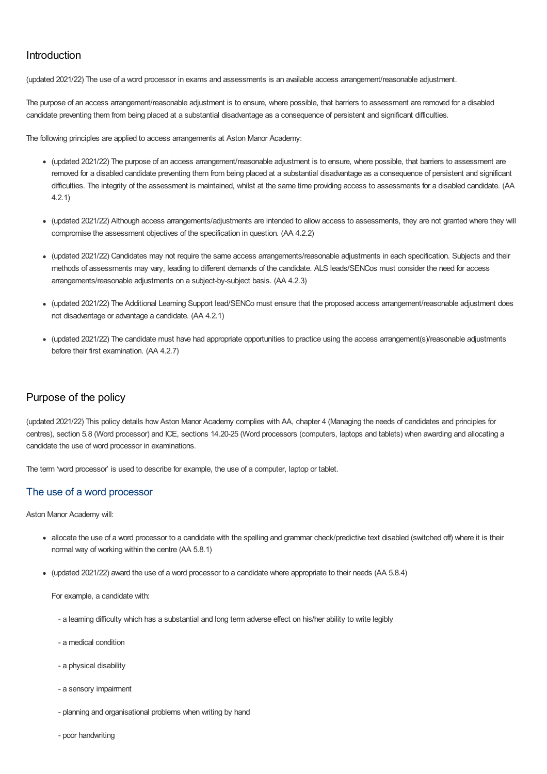# Introduction

(updated 2021/22) The use of a word processor in exams and assessments is an available access arrangement/reasonable adjustment.

The purpose of an access arrangement/reasonable adjustment is to ensure, where possible, that barriers to assessment are removed for a disabled candidate preventing them from being placed at a substantial disadvantage as a consequence of persistent and significant difficulties.

The following principles are applied to access arrangements at Aston Manor Academy:

- (updated 2021/22) The purpose of an access arrangement/reasonable adjustment is to ensure, where possible, that barriers to assessment are removed for a disabled candidate preventing them from being placed at a substantial disadvantage as a consequence of persistent and significant difficulties. The integrity of the assessment is maintained, whilst at the same time providing access to assessments for a disabled candidate. (AA 4.2.1)
- (updated 2021/22) Although access arrangements/adjustments are intended to allow access to assessments, they are not granted where they will compromise the assessment objectives of the specification in question. (AA 4.2.2)
- (updated 2021/22) Candidates may not require the same access arrangements/reasonable adjustments in each specification. Subjects and their methods of assessments may vary, leading to different demands of the candidate. ALS leads/SENCos must consider the need for access arrangements/reasonable adjustments on a subject-by-subject basis. (AA 4.2.3)
- (updated 2021/22) The Additional Learning Support lead/SENCo must ensure that the proposed access arrangement/reasonable adjustment does not disadvantage or advantage a candidate. (AA 4.2.1)
- (updated 2021/22) The candidate must have had appropriate opportunities to practice using the access arrangement(s)/reasonable adjustments before their first examination. (AA 4.2.7)

# Purpose of the policy

(updated 2021/22) This policy details how Aston Manor Academy complies with AA, chapter 4 (Managing the needs of candidates and principles for centres), section 5.8 (Word processor) and ICE, sections 14.20-25 (Word processors (computers, laptops and tablets) when awarding and allocating a candidate the use of word processor in examinations.

The term 'word processor' is used to describe for example, the use of a computer, laptop or tablet.

## The use of a word processor

Aston Manor Academy will:

- allocate the use of a word processor to a candidate with the spelling and grammar check/predictive text disabled (switched off) where it is their normal way of working within the centre (AA 5.8.1)
- (updated 2021/22) award the use of a word processor to a candidate where appropriate to their needs (AA 5.8.4)

For example, a candidate with:

- a learning difficulty which has a substantial and long term adverse effect on his/her ability to write legibly
- a medical condition
- a physical disability
- a sensory impairment
- planning and organisational problems when writing by hand
- poor handwriting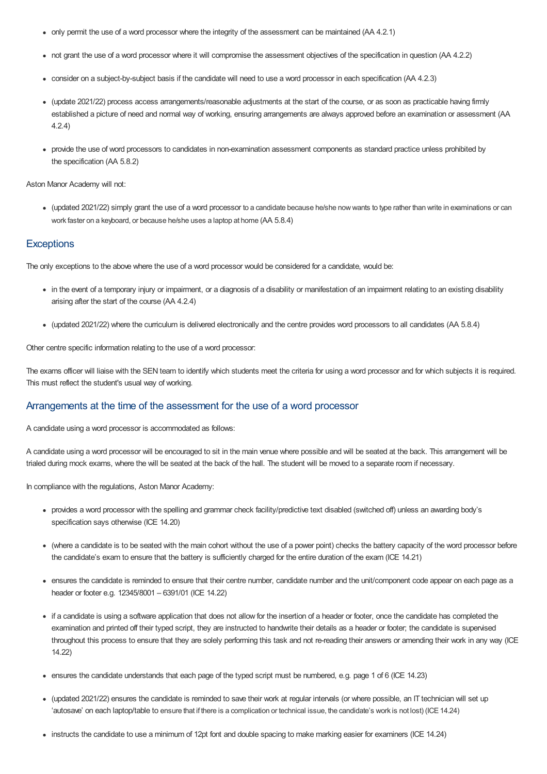- only permit the use of a word processor where the integrity of the assessment can be maintained (AA 4.2.1)
- not grant the use of a word processor where it will compromise the assessment objectives of the specification in question (AA 4.2.2)
- consider on a subject-by-subject basis if the candidate will need to use a word processor in each specification (AA 4.2.3)
- (update 2021/22) process access arrangements/reasonable adjustments at the start of the course, or as soon as practicable having firmly established a picture of need and normal way of working, ensuring arrangements are always approved before an examination or assessment (AA 4.2.4)
- provide the use of word processors to candidates in non-examination assessment components as standard practice unless prohibited by the specification (AA 5.8.2)

#### Aston Manor Academy will not:

• (updated 2021/22) simply grant the use of a word processor to a candidate because he/she now wants to type rather than write in examinations or can work faster on a keyboard, or because he/she uses a laptop at home (AA 5.8.4)

#### **Exceptions**

The only exceptions to the above where the use of a word processor would be considered for a candidate, would be:

- in the event of a temporary injury or impairment, or a diagnosis of a disability or manifestation of an impairment relating to an existing disability arising after the start of the course (AA 4.2.4)
- (updated 2021/22) where the curriculum is delivered electronically and the centre provides word processors to all candidates (AA 5.8.4)

Other centre specific information relating to the use of a word processor:

The exams officer will liaise with the SEN team to identify which students meet the criteria for using a word processor and for which subjects it is required. This must reflect the student's usual way of working.

#### Arrangements at the time of the assessment for the use of a word processor

A candidate using a word processor is accommodated as follows:

A candidate using a word processor will be encouraged to sit in the main venue where possible and will be seated at the back. This arrangement will be trialed during mock exams, where the will be seated at the back of the hall. The student will be moved to a separate room if necessary.

In compliance with the regulations, Aston Manor Academy:

- provides a word processor with the spelling and grammar check facility/predictive text disabled (switched off) unless an awarding body's specification says otherwise (ICE 14.20)
- (where a candidate is to be seated with the main cohort without the use of a power point) checks the battery capacity of the word processor before the candidate's exam to ensure that the battery is sufficiently charged for the entire duration of the exam (ICE 14.21)
- ensures the candidate is reminded to ensure that their centre number, candidate number and the unit/component code appear on each page as a header or footer e.g. 12345/8001 – 6391/01 (ICE 14.22)
- if a candidate is using a software application that does not allow for the insertion of a header or footer, once the candidate has completed the examination and printed off their typed script, they are instructed to handwrite their details as a header or footer; the candidate is supervised throughout this process to ensure that they are solely performing this task and not re-reading their answers or amending their work in any way (ICE 14.22)
- ensures the candidate understands that each page of the typed script must be numbered, e.g. page 1 of 6 (ICE 14.23)
- (updated 2021/22) ensures the candidate is reminded to save their work at regular intervals (or where possible, an IT technician will set up 'autosave' on each laptop/table to ensure that if there is a complication or technical issue, the candidate's work is not lost) (ICE14.24)
- instructs the candidate to use a minimum of 12pt font and double spacing to make marking easier for examiners (ICE 14.24)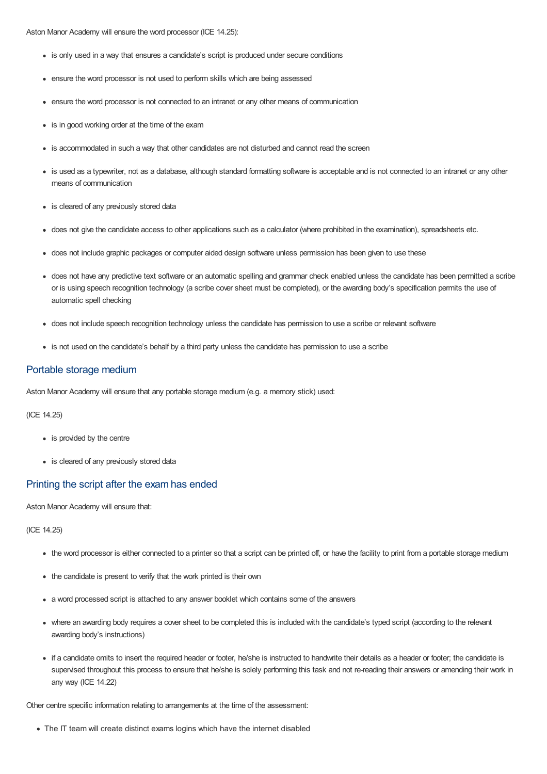Aston Manor Academy will ensure the word processor (ICE 14.25):

- is only used in a way that ensures a candidate's script is produced under secure conditions
- ensure the word processor is not used to perform skills which are being assessed
- ensure the word processor is not connected to an intranet or any other means of communication
- is in good working order at the time of the exam
- is accommodated in such a way that other candidates are not disturbed and cannot read the screen
- is used as a typewriter, not as a database, although standard formatting software is acceptable and is not connected to an intranet or any other means of communication
- is cleared of any previously stored data
- does not give the candidate access to other applications such as a calculator (where prohibited in the examination), spreadsheets etc.
- does not include graphic packages or computer aided design software unless permission has been given to use these
- does not have any predictive text software or an automatic spelling and grammar check enabled unless the candidate has been permitted a scribe or is using speech recognition technology (a scribe cover sheet must be completed), or the awarding body's specification permits the use of automatic spell checking
- does not include speech recognition technology unless the candidate has permission to use a scribe or relevant software
- is not used on the candidate's behalf by a third party unless the candidate has permission to use a scribe

#### Portable storage medium

Aston Manor Academy will ensure that any portable storage medium (e.g. a memory stick) used:

(ICE 14.25)

- is provided by the centre
- is cleared of any previously stored data

#### Printing the script after the exam has ended

Aston Manor Academy will ensure that:

(ICE 14.25)

- the word processor is either connected to a printer so that a script can be printed off, or have the facility to print from a portable storage medium
- the candidate is present to verify that the work printed is their own
- a word processed script is attached to any answer booklet which contains some of the answers
- where an awarding body requires a cover sheet to be completed this is included with the candidate's typed script (according to the relevant awarding body's instructions)
- if a candidate omits to insert the required header or footer, he/she is instructed to handwrite their details as a header or footer; the candidate is supervised throughout this process to ensure that he/she is solely performing this task and not re-reading their answers or amending their work in any way (ICE 14.22)

Other centre specific information relating to arrangements at the time of the assessment:

The IT team will create distinct exams logins which have the internet disabled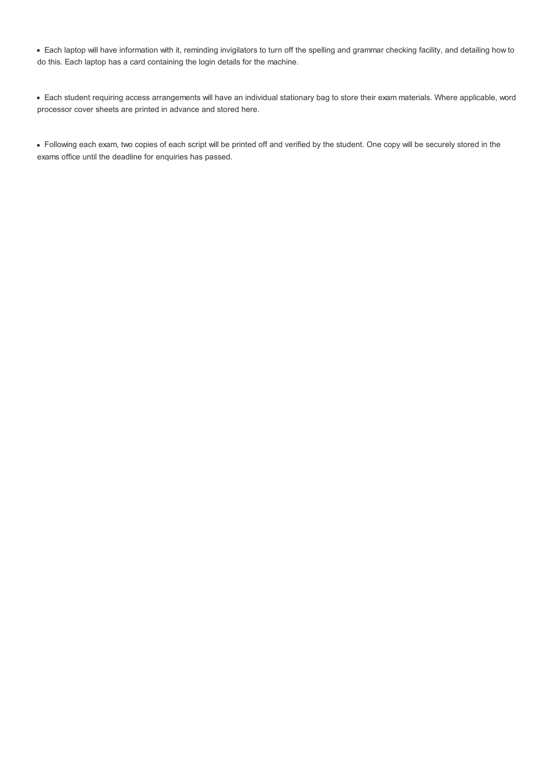Each laptop will have information with it, reminding invigilators to turn off the spelling and grammar checking facility, and detailing how to do this. Each laptop has a card containing the login details for the machine.

Each student requiring access arrangements will have an individual stationary bag to store their exam materials. Where applicable, word processor cover sheets are printed in advance and stored here.

Following each exam, two copies of each script will be printed off and verified by the student. One copy will be securely stored in the exams office until the deadline for enquiries has passed.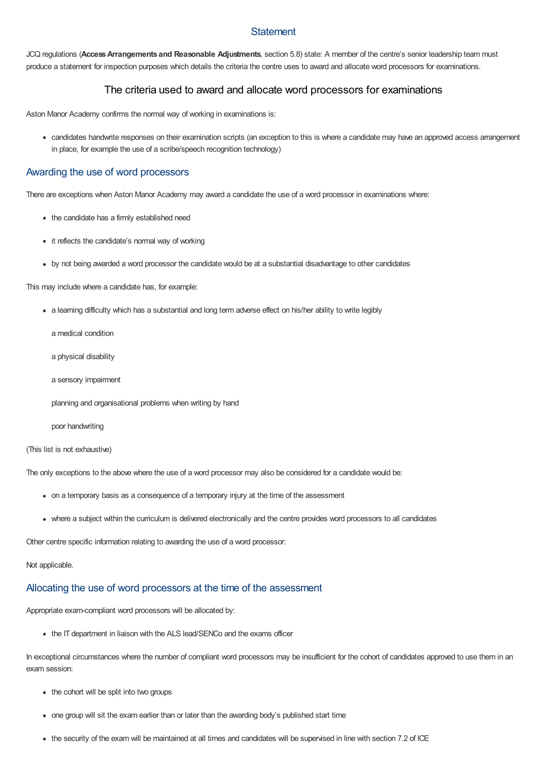## **Statement**

JCQ regulations (**AccessArrangements and Reasonable Adjustments**, section 5.8) state: A member of the centre's senior leadership team must produce a statement for inspection purposes which details the criteria the centre uses to award and allocate word processors for examinations.

## The criteria used to award and allocate word processors for examinations

Aston Manor Academy confirms the normal way of working in examinations is:

candidates handwrite responses on their examination scripts (an exception to this is where a candidate may have an approved access arrangement in place, for example the use of a scribe/speech recognition technology)

## Awarding the use of word processors

There are exceptions when Aston Manor Academy may award a candidate the use of a word processor in examinations where:

- the candidate has a firmly established need
- it reflects the candidate's normal way of working
- by not being awarded a word processor the candidate would be at a substantial disadvantage to other candidates

This may include where a candidate has, for example:

- a learning difficulty which has a substantial and long term adverse effect on his/her ability to write legibly
	- a medical condition
	- a physical disability
	- a sensory impairment
	- planning and organisational problems when writing by hand
	- poor handwriting

#### (This list is not exhaustive)

The only exceptions to the above where the use of a word processor may also be considered for a candidate would be:

- on a temporary basis as a consequence of a temporary injury at the time of the assessment
- where a subject within the curriculum is delivered electronically and the centre provides word processors to all candidates

Other centre specific information relating to awarding the use of a word processor:

#### Not applicable.

# Allocating the use of word processors at the time of the assessment

Appropriate exam-compliant word processors will be allocated by:

• the IT department in liaison with the ALS lead/SENCo and the exams officer

In exceptional circumstances where the number of compliant word processors may be insufficient for the cohort of candidates approved to use them in an exam session:

- the cohort will be split into two groups
- one group will sit the exam earlier than or later than the awarding body's published start time
- the security of the exam will be maintained at all times and candidates will be supervised in line with section 7.2 of ICE